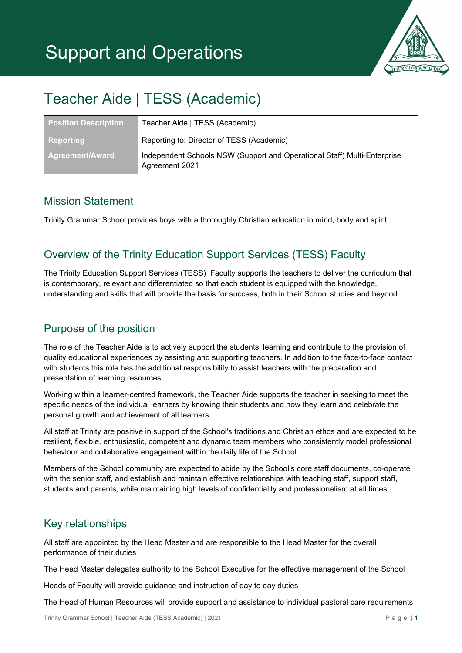

# Teacher Aide | TESS (Academic)

| <b>Position Description</b> | Teacher Aide   TESS (Academic)                                                             |
|-----------------------------|--------------------------------------------------------------------------------------------|
| Reporting                   | Reporting to: Director of TESS (Academic)                                                  |
| <b>Agreement/Award</b>      | Independent Schools NSW (Support and Operational Staff) Multi-Enterprise<br>Agreement 2021 |

### Mission Statement

Trinity Grammar School provides boys with a thoroughly Christian education in mind, body and spirit.

# Overview of the Trinity Education Support Services (TESS) Faculty

The Trinity Education Support Services (TESS) Faculty supports the teachers to deliver the curriculum that is contemporary, relevant and differentiated so that each student is equipped with the knowledge, understanding and skills that will provide the basis for success, both in their School studies and beyond.

# Purpose of the position

The role of the Teacher Aide is to actively support the students' learning and contribute to the provision of quality educational experiences by assisting and supporting teachers. In addition to the face-to-face contact with students this role has the additional responsibility to assist teachers with the preparation and presentation of learning resources.

Working within a learner-centred framework, the Teacher Aide supports the teacher in seeking to meet the specific needs of the individual learners by knowing their students and how they learn and celebrate the personal growth and achievement of all learners.

All staff at Trinity are positive in support of the School's traditions and Christian ethos and are expected to be resilient, flexible, enthusiastic, competent and dynamic team members who consistently model professional behaviour and collaborative engagement within the daily life of the School.

Members of the School community are expected to abide by the School's core staff documents, co-operate with the senior staff, and establish and maintain effective relationships with teaching staff, support staff, students and parents, while maintaining high levels of confidentiality and professionalism at all times.

## Key relationships

All staff are appointed by the Head Master and are responsible to the Head Master for the overall performance of their duties

The Head Master delegates authority to the School Executive for the effective management of the School

Heads of Faculty will provide guidance and instruction of day to day duties

The Head of Human Resources will provide support and assistance to individual pastoral care requirements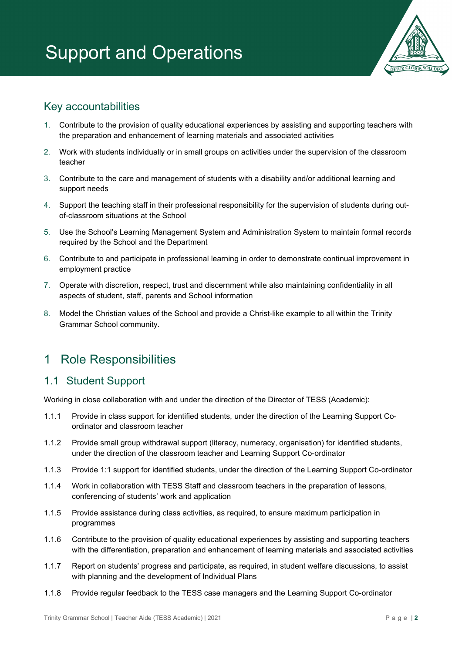

## Key accountabilities

- 1. Contribute to the provision of quality educational experiences by assisting and supporting teachers with the preparation and enhancement of learning materials and associated activities
- 2. Work with students individually or in small groups on activities under the supervision of the classroom teacher
- 3. Contribute to the care and management of students with a disability and/or additional learning and support needs
- 4. Support the teaching staff in their professional responsibility for the supervision of students during outof-classroom situations at the School
- 5. Use the School's Learning Management System and Administration System to maintain formal records required by the School and the Department
- 6. Contribute to and participate in professional learning in order to demonstrate continual improvement in employment practice
- 7. Operate with discretion, respect, trust and discernment while also maintaining confidentiality in all aspects of student, staff, parents and School information
- 8. Model the Christian values of the School and provide a Christ-like example to all within the Trinity Grammar School community.

# 1 Role Responsibilities

## 1.1 Student Support

Working in close collaboration with and under the direction of the Director of TESS (Academic):

- 1.1.1 Provide in class support for identified students, under the direction of the Learning Support Coordinator and classroom teacher
- 1.1.2 Provide small group withdrawal support (literacy, numeracy, organisation) for identified students, under the direction of the classroom teacher and Learning Support Co-ordinator
- 1.1.3 Provide 1:1 support for identified students, under the direction of the Learning Support Co-ordinator
- 1.1.4 Work in collaboration with TESS Staff and classroom teachers in the preparation of lessons, conferencing of students' work and application
- 1.1.5 Provide assistance during class activities, as required, to ensure maximum participation in programmes
- 1.1.6 Contribute to the provision of quality educational experiences by assisting and supporting teachers with the differentiation, preparation and enhancement of learning materials and associated activities
- 1.1.7 Report on students' progress and participate, as required, in student welfare discussions, to assist with planning and the development of Individual Plans
- 1.1.8 Provide regular feedback to the TESS case managers and the Learning Support Co-ordinator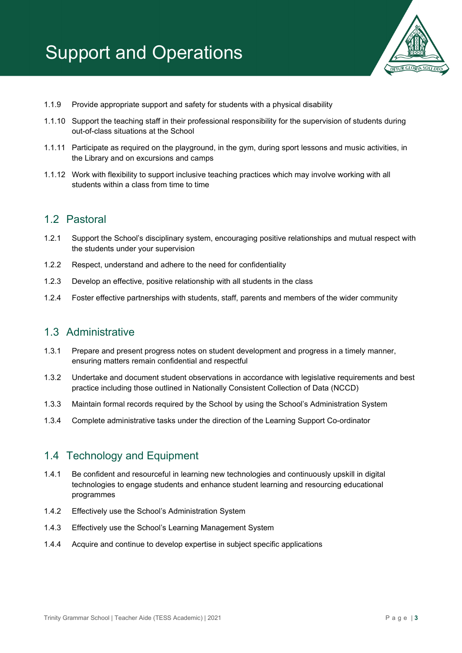

- 1.1.9 Provide appropriate support and safety for students with a physical disability
- 1.1.10 Support the teaching staff in their professional responsibility for the supervision of students during out-of-class situations at the School
- 1.1.11 Participate as required on the playground, in the gym, during sport lessons and music activities, in the Library and on excursions and camps
- 1.1.12 Work with flexibility to support inclusive teaching practices which may involve working with all students within a class from time to time

#### 1.2 Pastoral

- 1.2.1 Support the School's disciplinary system, encouraging positive relationships and mutual respect with the students under your supervision
- 1.2.2 Respect, understand and adhere to the need for confidentiality
- 1.2.3 Develop an effective, positive relationship with all students in the class
- 1.2.4 Foster effective partnerships with students, staff, parents and members of the wider community

#### 1.3 Administrative

- 1.3.1 Prepare and present progress notes on student development and progress in a timely manner, ensuring matters remain confidential and respectful
- 1.3.2 Undertake and document student observations in accordance with legislative requirements and best practice including those outlined in Nationally Consistent Collection of Data (NCCD)
- 1.3.3 Maintain formal records required by the School by using the School's Administration System
- 1.3.4 Complete administrative tasks under the direction of the Learning Support Co-ordinator

#### 1.4 Technology and Equipment

- 1.4.1 Be confident and resourceful in learning new technologies and continuously upskill in digital technologies to engage students and enhance student learning and resourcing educational programmes
- 1.4.2 Effectively use the School's Administration System
- 1.4.3 Effectively use the School's Learning Management System
- 1.4.4 Acquire and continue to develop expertise in subject specific applications